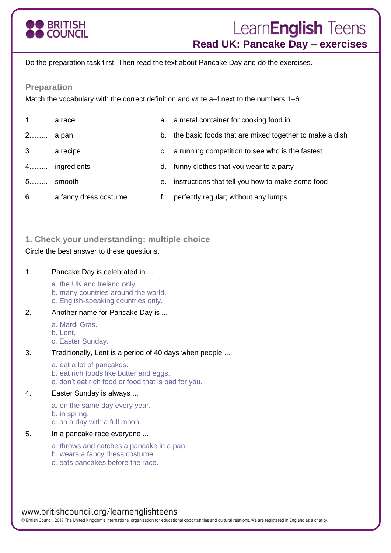

# Learn**English** Teens **Read UK: Pancake Day – exercises**

Do the preparation task first. Then read the text about Pancake Day and do the exercises.

#### **Preparation**

Match the vocabulary with the correct definition and write a–f next to the numbers 1–6.

| $1$ a race |                         | a. a metal container for cooking food in                  |
|------------|-------------------------|-----------------------------------------------------------|
| 2 a pan    |                         | b. the basic foods that are mixed together to make a dish |
|            | 3 a recipe              | c. a running competition to see who is the fastest        |
|            | 4 ingredients           | d. funny clothes that you wear to a party                 |
|            | 5 smooth                | e. instructions that tell you how to make some food       |
|            | 6 a fancy dress costume | perfectly regular; without any lumps                      |

### **1. Check your understanding: multiple choice**

Circle the best answer to these questions.

#### 1. Pancake Day is celebrated in ...

a. the UK and Ireland only.

- b. many countries around the world.
- c. English-speaking countries only.
- 2. Another name for Pancake Day is ...
	- a. Mardi Gras.
	- b. Lent.
	- c. Easter Sunday.
- 3. Traditionally, Lent is a period of 40 days when people ...
	- a. eat a lot of pancakes.
	- b. eat rich foods like butter and eggs.
	- c. don't eat rich food or food that is bad for you.

#### 4. Easter Sunday is always ...

- a. on the same day every year.
- b. in spring.
- c. on a day with a full moon.
- 5. In a pancake race everyone ...
	- a. throws and catches a pancake in a pan.
	- b. wears a fancy dress costume.
	- c. eats pancakes before the race.

# www.britishcouncil.org/learnenglishteens

© British Council, 2017 The United Kingdom's international organisation for educational opportunities and cultural relations. We are registered in England as a charity.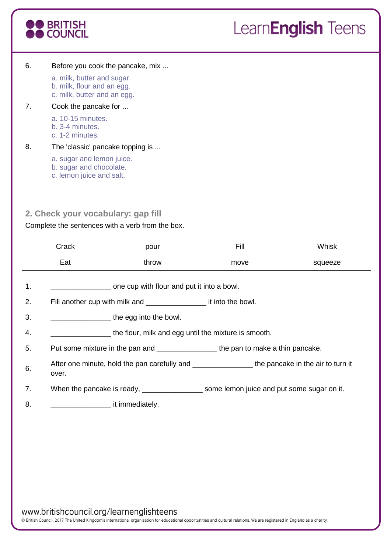

#### 6. Before you cook the pancake, mix ...

a. milk, butter and sugar. b. milk, flour and an egg. c. milk, butter and an egg.

#### 7. Cook the pancake for ...

- a. 10-15 minutes.
- b. 3-4 minutes.
- c. 1-2 minutes.

#### 8. The 'classic' pancake topping is ...

- a. sugar and lemon juice.
- b. sugar and chocolate.
- c. lemon juice and salt.

# **2. Check your vocabulary: gap fill**

#### Complete the sentences with a verb from the box.

|    | Crack                                                                                                        | pour                                                                               | <b>Fill</b> | Whisk   |  |  |  |
|----|--------------------------------------------------------------------------------------------------------------|------------------------------------------------------------------------------------|-------------|---------|--|--|--|
|    | Eat                                                                                                          | throw                                                                              | move        | squeeze |  |  |  |
| 1. | ________________ one cup with flour and put it into a bowl.                                                  |                                                                                    |             |         |  |  |  |
| 2. |                                                                                                              |                                                                                    |             |         |  |  |  |
| 3. | $\frac{1}{2}$ the egg into the bowl.                                                                         |                                                                                    |             |         |  |  |  |
| 4. | the flour, milk and egg until the mixture is smooth.                                                         |                                                                                    |             |         |  |  |  |
| 5. |                                                                                                              | Put some mixture in the pan and ___________________the pan to make a thin pancake. |             |         |  |  |  |
| 6. | After one minute, hold the pan carefully and _____________________the pancake in the air to turn it<br>over. |                                                                                    |             |         |  |  |  |
| 7. |                                                                                                              |                                                                                    |             |         |  |  |  |
| 8. | it immediately.                                                                                              |                                                                                    |             |         |  |  |  |
|    |                                                                                                              |                                                                                    |             |         |  |  |  |

www.britishcouncil.org/learnenglishteens

© British Council, 2017 The United Kingdom's international organisation for educational opportunities and cultural relations. We are registered in England as a charity.